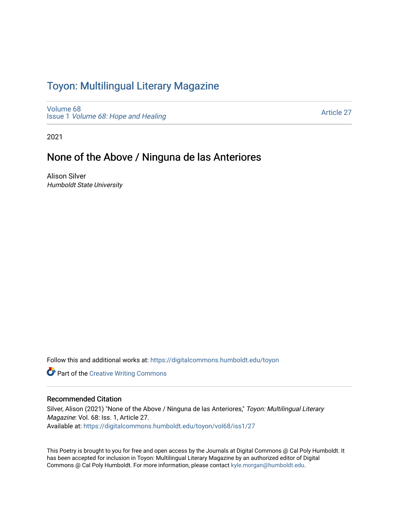## Toyon: Multilingual Literar[y](https://digitalcommons.humboldt.edu/toyon) Magazine

[Volume 68](https://digitalcommons.humboldt.edu/toyon/vol68) Issue 1 [Volume 68: Hope and Healing](https://digitalcommons.humboldt.edu/toyon/vol68/iss1) 

[Article 27](https://digitalcommons.humboldt.edu/toyon/vol68/iss1/27) 

2021

### None of the Above / Ninguna de las Anteriores

Alison Silver Humboldt State University

Follow this and additional works at: [https://digitalcommons.humboldt.edu/toyon](https://digitalcommons.humboldt.edu/toyon?utm_source=digitalcommons.humboldt.edu%2Ftoyon%2Fvol68%2Fiss1%2F27&utm_medium=PDF&utm_campaign=PDFCoverPages)

**Part of the Creative Writing Commons** 

#### Recommended Citation

Silver, Alison (2021) "None of the Above / Ninguna de las Anteriores," Toyon: Multilingual Literary Magazine: Vol. 68: Iss. 1, Article 27. Available at: [https://digitalcommons.humboldt.edu/toyon/vol68/iss1/27](https://digitalcommons.humboldt.edu/toyon/vol68/iss1/27?utm_source=digitalcommons.humboldt.edu%2Ftoyon%2Fvol68%2Fiss1%2F27&utm_medium=PDF&utm_campaign=PDFCoverPages) 

This Poetry is brought to you for free and open access by the Journals at Digital Commons @ Cal Poly Humboldt. It has been accepted for inclusion in Toyon: Multilingual Literary Magazine by an authorized editor of Digital Commons @ Cal Poly Humboldt. For more information, please contact [kyle.morgan@humboldt.edu](mailto:kyle.morgan@humboldt.edu).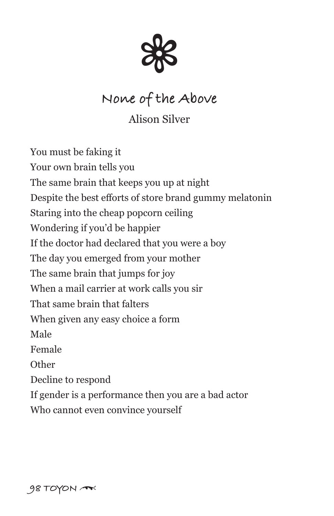

# **None of the Above**

Alison Silver

You must be faking it Your own brain tells you The same brain that keeps you up at night Despite the best efforts of store brand gummy melatonin Staring into the cheap popcorn ceiling Wondering if you'd be happier If the doctor had declared that you were a boy The day you emerged from your mother The same brain that jumps for joy When a mail carrier at work calls you sir That same brain that falters When given any easy choice a form Male Female **Other** Decline to respond If gender is a performance then you are a bad actor Who cannot even convince yourself

**98 TOYON** \